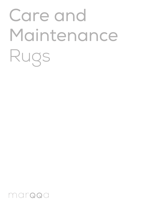# Care and Maintenance Rugs

marood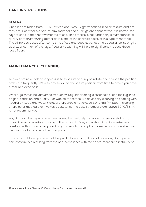### CARE INSTRUCTIONS

#### **GENERAL**

Our rugs are made from 100% New Zealand Wool. Slight variations in color, texture and size may occur as wool is a natural raw material and our rugs are handcrafted. It is normal for rugs to shed in the first few months of use. This process is not, under any circumstances, a quality or manufacturing defect as it is one of the characteristics of this type of material. The pilling decreases after some time of use and does not affect the appearance, strength, quality, or comfort of the rugs. Regular vacuuming will help to significantly reduce those loose fibers.

## MAINTENANCE & CLEANING

To avoid stains or color changes due to exposure to sunlight, rotate and change the position of the rug frequently. We also advise you to change its position from time to time if you have furniture placed on it.

Wool rugs should be vacuumed frequently. Regular cleaning is essential to keep the rug in its original condition and quality. For woolen tapestries, we advise dry cleaning or cleaning with neutral pH soap and water (temperature should not exceed 30 °C/86 °F). Steam cleaning or any other method that involves a substantial increase in temperature (above 30 °C/86 °F) is not recommended.

Any dirt or spilled liquid should be cleaned immediately. It's easier to remove stains that haven't been completely absorbed. The removal of any stain should be done extremely carefully, without scratching or rubbing too much the rug. For a deeper and more effective cleaning, contact a specialized company.

It is important to emphasize that the products warranty does not cover any damages or non-conformities resulting from the non-compliance with the above-mentioned instructions.

Please read our Terms & Conditions for more information.